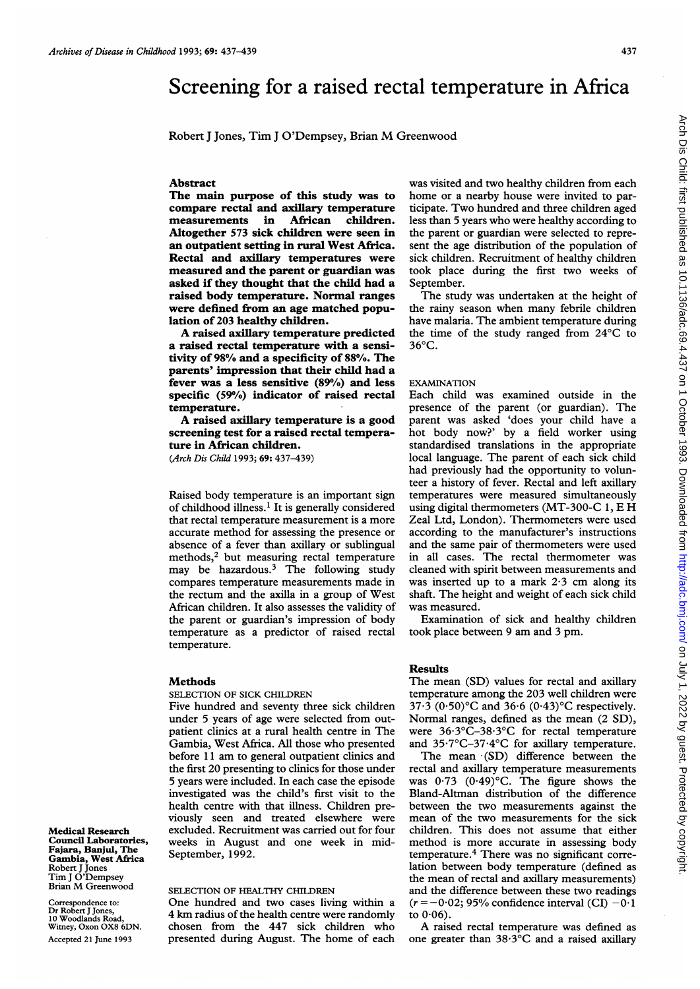# Screening for a raised rectal temperature in Africa

Robert <sup>J</sup> Jones, Tim <sup>J</sup> O'Dempsey, Brian M Greenwood

### Abstract

The main purpose of this study was to compare rectal and axillary temperature measurements in African children. Altogether 573 sick children were seen in an outpatient setting in rural West Africa. Rectal and axillary temperatures were measured and the parent or guardian was asked if they thought that the child had a raised body temperature. Normal ranges were defined from an age matched population of 203 healthy children.

A raised axillary temperature predicted a raised rectal temperature with a sensitivity of 98% and a specificity of 88%. The parents' impression that their child had a fever was a less sensitive (89%) and less specific (59%) indicator of raised rectal temperature.

A raised axillary temperature is <sup>a</sup> good screening test for a raised rectal temperature in African children.

(Arch Dis Child 1993; 69: 437-439)

Raised body temperature is an important sign of childhood illness.' It is generally considered that rectal temperature measurement is a more accurate method for assessing the presence or absence of a fever than axillary or sublingual methods, $2$  but measuring rectal temperature may be hazardous.3 The following study compares temperature measurements made in the rectum and the axilla in a group of West African children. It also assesses the validity of the parent or guardian's impression of body temperature as a predictor of raised rectal temperature.

#### Methods

Medical Research Council Laboratories, Fajara, Banjul, The Gambia, West Africa Robert J Jones Tim <sup>J</sup> O'Dempsey Brian M Greenwood Correspondence to Dr Robert <sup>J</sup> Jones, 10 Woodlands Road, Witney, Oxon OX8 6DN. Accepted 21 June 1993

SELECTION OF SICK CHILDREN

Five hundred and seventy three sick children under 5 years of age were selected from outpatient clinics at a rural health centre in The Gambia, West Africa. All those who presented before <sup>11</sup> am to general outpatient clinics and the first 20 presenting to clinics for those under 5 years were included. In each case the episode investigated was the child's first visit to the health centre with that illness. Children previously seen and treated elsewhere were excluded. Recruitment was carried out for four weeks in August and one week in mid-September, 1992.

#### SELECTION OF HEALTHY CHILDREN

One hundred and two cases living within a 4 km radius of the health centre were randomly chosen from the 447 sick children who presented during August. The home of each

was visited and two healthy children from each home or a nearby house were invited to participate. Two hundred and three children aged less than 5 years who were healthy according to the parent or guardian were selected to represent the age distribution of the population of sick children. Recruitment of healthy children took place during the first two weeks of September.

The study was undertaken at the height of the rainy season when many febrile children have malaria. The ambient temperature during the time of the study ranged from 24°C to  $36^{\circ}$ C.

## EXAMINATION

Each child was examined outside in the presence of the parent (or guardian). The parent was asked 'does your child have a hot body now?' by a field worker using standardised translations in the appropriate local language. The parent of each sick child had previously had the opportunity to volunteer a history of fever. Rectal and left axillary temperatures were measured simultaneously using digital thermometers (MT-300-C 1, E H Zeal Ltd, London). Thermometers were used according to the manufacturer's instructions and the same pair of thermometers were used in all cases. The rectal thermometer was cleaned with spirit between measurements and was inserted up to <sup>a</sup> mark 2-3 cm along its shaft. The height and weight of each sick child was measured.

Examination of sick and healthy children took place between <sup>9</sup> am and <sup>3</sup> pm.

## Results

The mean (SD) values for rectal and axillary temperature among the 203 well children were 37.3 (0.50) $\textdegree$ C and 36.6 (0.43) $\textdegree$ C respectively. Normal ranges, defined as the mean (2 SD), were 36.3°C-38.3°C for rectal temperature and 35.7°C-37.4°C for axillary temperature.

The mean (SD) difference between the rectal and axillary temperature measurements was  $0.73$  ( $0.49$ )°C. The figure shows the Bland-Altman distribution of the difference between the two measurements against the mean of the two measurements for the sick children. This does not assume that either method is more accurate in assessing body temperature.4 There was no significant correlation between body temperature (defined as the mean of rectal and axillary measurements) and the difference between these two readings  $(r = -0.02; 95\%$  confidence interval (CI)  $-0.1$ to 0-06).

A raised rectal temperature was defined as one greater than 38-3°C and a raised axillary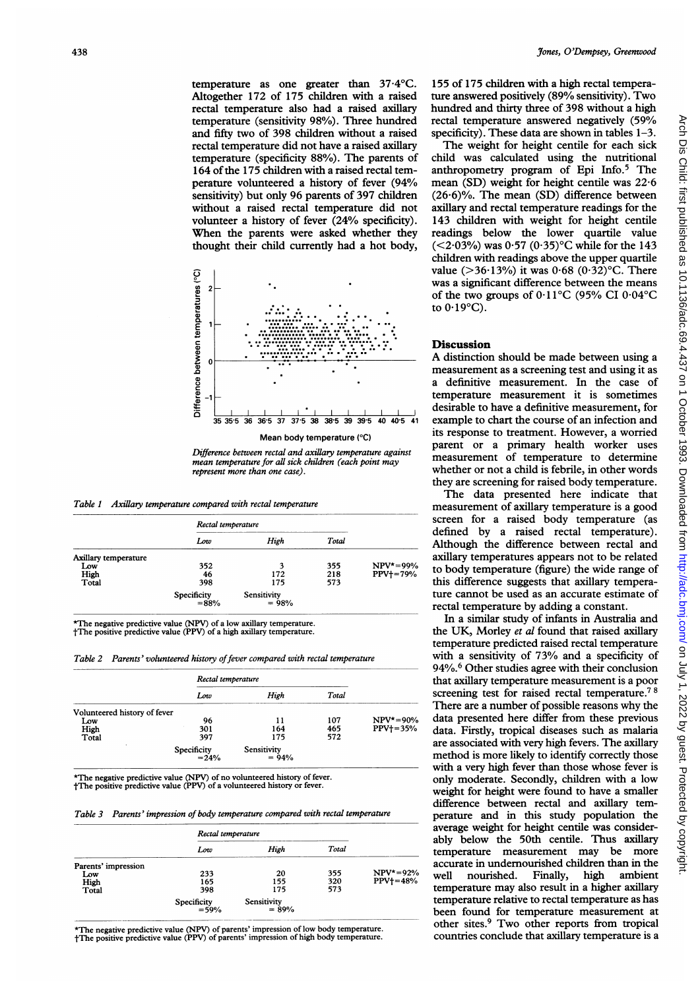4Jones,O'Dempsey, Greenwood temperature as one greater than  $37.4^{\circ}$ C. Altogether 172 of 175 children with a raised rectal temperature also had a raised axillary temperature (sensitivity 98%). Three hundred and fifty two of 398 children without a raised rectal temperature did not have a raised axillary temperature (specificity 88%). The parents of 164 of the 175 children with a raised rectal temperature volunteered a history of fever (94% sensitivity) but only 96 parents of 397 children without a raised rectal temperature did not volunteer a history of fever (24% specificity). When the parents were asked whether they thought their child currently had a hot body,



Difference between rectal and axillary temperature against mean temperature for all sick children (each point may represent more than one case).

Table 1 Axillary temperature compared with rectal temperature

|                      | Rectal temperature  |                        |       |                |
|----------------------|---------------------|------------------------|-------|----------------|
|                      | Low                 | High                   | Total |                |
| Axillary temperature |                     |                        |       |                |
| Low                  | 352                 | 3                      | 355   | $NPV^* = 99\%$ |
| High                 | 46                  | 172                    | 218   | $PPV+=79%$     |
| Total                | 398                 | 175                    | 573   |                |
|                      | Specificity<br>=88% | Sensitivity<br>$= 98%$ |       |                |

\*The negative predictive value (NPV) of a low axillary temperature. tThe positive predictive value (PPV) of a high axillary temperature.

Table 2 Parents' volunteered history of fever compared with rectal temperature

|                              |                         | Rectal temperature     |       |                |
|------------------------------|-------------------------|------------------------|-------|----------------|
|                              | Low                     | High                   | Total |                |
| Volunteered history of fever |                         |                        |       |                |
| Low                          | 96                      | 11                     | 107   | $NPV^* = 90\%$ |
| High                         | 301                     | 164                    | 465   | $PPV1=35%$     |
| Total                        | 397                     | 175                    | 572   |                |
|                              | Specificity<br>= $24\%$ | Sensitivity<br>$= 94%$ |       |                |

\*The negative predictive value (NPV) of no volunteered history of fever. tThe positive predictive value (PPV) of a volunteered history or fever.

Table 3 Parents' impression of body temperature compared with rectal temperature

|                     | Rectal temperature  |                        |       |               |
|---------------------|---------------------|------------------------|-------|---------------|
|                     | Low                 | High                   | Total |               |
| Parents' impression |                     |                        |       |               |
| Low                 | 233                 | 20                     | 355   | $NPV^* = 92%$ |
| High                | 165                 | 155                    | 320   | $PPV+=48%$    |
| Total               | 398                 | 175                    | 573   |               |
|                     | Specificity<br>=59% | Sensitivity<br>$= 89%$ |       |               |

\*The negative predictive value (NPV) of parents' impression of low body temperat tThe positive predictive value (PPV) of parents' impression of high body temperat

155 of 175 children with a high rectal temperature answered positively (89% sensitivity). Two hundred and thirty three of 398 without a high rectal temperature answered negatively (59% specificity). These data are shown in tables 1-3.

The weight for height centile for each sick child was calculated using the nutritional anthropometry program of Epi Info.5 The mean (SD) weight for height centile was 22-6  $(26.6)\%$ . The mean (SD) difference between axillary and rectal temperature readings for the 143 children with weight for height centile readings below the lower quartile value ( $\leq$ 2·03%) was 0·57 (0·35)°C while for the 143 children with readings above the upper quartile value ( $>36.13\%$ ) it was 0.68 (0.32)°C. There was a significant difference between the means of the two groups of  $0.11^{\circ}$ C (95% CI 0.04°C to  $0.19^{\circ}$ C).

## **Discussion**

A distinction should be made between using <sup>a</sup> measurement as a screening test and using it as a definitive measurement. In the case of temperature measurement it is sometimes desirable to have a definitive measurement, for  $\frac{1}{40}$   $\frac{1}{40}$   $\frac{1}{5}$  example to chart the course of an infection and its response to treatment. However, a worried parent or <sup>a</sup> primary health worker uses measurement of temperature to determine whether or not a child is febrile, in other words they are screening for raised body temperature.

> The data presented here indicate that measurement of axillary temperature is a good screen for a raised body temperature (as defined by a raised rectal temperature). Although the difference between rectal and axillary temperatures appears not to be related to body temperature (figure) the wide range of this difference suggests that axillary temperature cannot be used as an accurate estimate of rectal temperature by adding a constant.

> In a similar study of infants in Australia and the UK, Morley et al found that raised axillary temperature predicted raised rectal temperature with a sensitivity of  $73%$  and a specificity of 94%.<sup>6</sup> Other studies agree with their conclusion that axillary temperature measurement is a poor screening test for raised rectal temperature.<sup>78</sup> There are a number of possible reasons why the data presented here differ from these previous data. Firstly, tropical diseases such as malaria are associated with very high fevers. The axillary method is more likely to identify correctly those with a very high fever than those whose fever is only moderate. Secondly, children with a low weight for height were found to have a smaller difference between rectal and axillary temperature and in this study population the average weight for height centile was considerably below the 50th centile. Thus axillary temperature measurement may be more accurate in undernourished children than in the well nourished. Finally, high ambient temperature may also result in a higher axillary temperature relative to rectal temperature as has been found for temperature measurement at other sites.<sup>9</sup> Two other reports from tropical countries conclude that axillary temperature is a